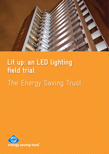

# **Lit up: an LED lighting field trial**

The Energy Saving Trust

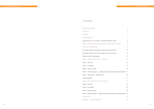Energy Saving Trust Innovation Programme feasibility study What is a light-emitting diode (LED) and how does it **Field trial methodology** 

On-site performance monitoring undertaken during the trial

Laboratory testing of old light fittings and new LED fittings

'Before and after' photography

Phase 1 of the LED field trial - Results

Phase 1 Overview

Phase 1 Site details

Phase 1 Energy savings

Phase 1 LED performance - Lighting Association Laboratories

Phase 1 Case Study - Cavendish Mill

Site photographs

**Executive summary**

**The future**

**Foreword**

**The background**

|                   | 4               |
|-------------------|-----------------|
|                   | 5               |
|                   | 6               |
|                   | $\overline{7}$  |
|                   | 8               |
| work?             | 9               |
|                   | 11              |
|                   | 12              |
|                   | 12              |
|                   | 12              |
|                   | 14              |
|                   | 14              |
|                   | 15              |
|                   | 15              |
| s measurements    | 17              |
|                   | 20              |
|                   | 21              |
|                   | $\overline{22}$ |
|                   | 22              |
|                   | 23              |
|                   | 23              |
| s measurements 26 |                 |
|                   | 28              |
|                   | 30              |

**Phase 2 of the LED field trial – Results 22**

Phase 2 Overview

Phase 2 Site details

Phase 2 Energy savings

Phase 2 LED performance - Lighting Association Laboratories

**Conclusions 28**

**Appendix – Site photographs 30**

## **Contents**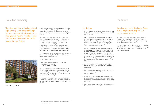## **Executive summary**

1 http://www.mckinsey.com/en/Client\_Service/Semiconductors/Latest\_thinking/

LED\_at\_the\_crossroads.aspx

There is a revolution in lighting. Although Light Emitting Diode (LED) technology has been used in electronic products for many years, it has only recently become practical as a replacement for existing commercial light fittings.



LED technology is developing very quickly, and the costs are falling. McKinsey & Company (management consultants) forecast that LED lighting has the potential to be the dominant technology in domestic and commercial lighting by 2015<sup>1</sup>. .

The Energy Saving Trust recognised the potential of LED lighting several years ago. In 2008, we successfully bid for funding from the UK government's Environmental Transformation Fund to conduct a field trial into the feasibility of installing LED lighting into communal areas of social housing. Communal areas included stairwells, corridors and common rooms. Cost-effective, functional lighting is especially important in social housing, where communal areas are illuminated up to 24 hours a day.

The trial measured the performance, energy-saving potential and maintenance of light levels of over 4,250 LED light fittings across 35 different sites.

We found that LED lighting can:

- Significantly improve the lighting in social housing
- Reduce energy consumption
- Lower the cost of maintenance

The field trial categorically proved the effectiveness of modern LEDs as an energy-efficient source of light. The quality of lighting showed marked improvement at almost every site in the trial. This is true in terms of brightness, colour and distribution of light.

The improved performance of LED lighting when compared with previously existing lighting in the test sites is clearly demonstrated in the "before and after" photographs in the appendix.

#### Key findings

- 1. Lighting levels increased in both phases of the field trial. In phase 1, the increase was 100 per cent. In phase 2, it was 57 per cent.
- 2. When LED performance is normalised to account for increased light levels it is calculated that the new LED lighting in the sites will generate ongoing savings in excess of 3,372,058kWh per year across both project phases. This is equivalent to the energy needed to light 5,788 typical UK homes for a year.
- 3. The LED installations increased the "colour temperature" in buildings, giving a brighter, whiter light much closer to that of daylight. ("Colour temperature" is a measure of how "warm" or "cold" a light is. The old lighting systems in the sites had an average colour temperature of 3,344 Kelvin across both phases, which is close to the "warm white" that is typical of fluorescent lighting. The LED lighting typically raised the colour temperature to 5,086 Kelvin.)
- 4. The brighter, whiter light enhanced the ambience in most of the sites, as can be seen by the photographs in the appendix.
- 5. Colour rendering improved across most of the sites. This means that colours appear as they would under natural lighting conditions.
- 6. LEDs in the trial demonstrated an excellent sustained performance. Lighting levels, when measured after about six months of use, maintained an average performance of 93.6 per cent.
- 7. Using normalised figures, both phases of the trial suggested that return on investment could be around 2 years.

## There is a key role for the Energy Saving Trust in helping to develop the LED lighting market in the UK.

The Energy Saving Trust believes that it is essential for consumers to have a good first impression. We are now promoting the benefits of LED lighting through our Energy Saving Trust Recommended programme.

The Energy Saving Trust will discuss the results of the field trial with the UK government and with OFGEM to encourage the inclusion of LED light fittings in existing and future energy-saving initiatives.

## **The future**

**St John's Wood, Ada Court**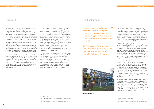The Energy Saving Trust has been at the forefront of the development of energy-efficient lighting products for over sixteen years. We developed the first performance specifications for compact fluorescent light bulbs in 1995, when EESoP2 , the first energy-efficiency obligations for energy suppliers, introduced subsidies for lighting products. EESoP was the predecessor of the current Carbon Emissions Reduction Target (CERT) which runs until the end of 2012.

Throughout this period, the performance specifications were adopted by the Energy Saving Trust Recommended scheme<sup>3</sup> with the requirement that any lighting product provided by energy suppliers had to be registered with Energy Saving Trust Recommended. This has ensured that the hundreds of millions of lamps supplied to domestic householders over this period have been of the highest quality and efficiency.

In recent years, the Energy Saving Trust Recommended scheme has widened its scope to include lighting products that utilise light-emitting diode (LED) technology. LED lighting technology has developed rapidly, and it now provides one of the most energy-efficient forms of lighting available. Little or no data was available on the actual performance of LED lighting when installed in real buildings, so it was decided to implement a field trial to carry out the necessary research.

The Energy Saving Trust is the UK's leading impartial organisation helping people to save energy and reduce carbon emissions. One of the key ways we do this is by providing expert insight and knowledge about energy saving methods and technologies. Our activity in this area includes policy research, technical testing and consumer advice. This field trial is one of many implemented by the Energy Saving Trust as part of our extensive market transformation activity in the low-carbon technology sector. It follows last year's report on our trial of heat pumps, Getting Warmer: a field trial of heat pumps. Other trials have looked at wind turbines, condensing boilers, advanced heating controls and various insulation products. Here comes the sun, our report presenting the results of our solar water heating field trial, was published on 13 October 2011.

The Energy Saving Trust is impartial, and is not tied to any particular commercial organisation or driven by political or corporate motivations. This enables us to work with a variety of industry stakeholders, who know our findings will be without bias. We use the results of our work to inform our advice services to the public, industry, governments, local authorities and other customers and stakeholders. The conclusions of this field trial of LED lighting will be of particular interest to the local authority sector and other sectors with similar day time lighting demands.

## **Foreword**

```
2 Energy Efficiency Standards of Performance
```
- http://www.ofgem.gov.uk/Pages/MoreInformation.aspx?docid=171&refer=Sustainabili ty/Environment/EnergyEff
- 3 http://www.energysavingtrust.org.uk/business/Business/Energy-Saving-Trust-Recommended

The Energy Saving Trust has always considered energy-efficient lighting an important area, and has led several different initiatives in this sector.

LED lighting is a rapidly developing, energy-efficient technology. We were keen to test the performance of some of the newer products on the market when it was installed in social housing. As with other new technologies, a lack of independently assessed performance data can act as a barrier to investment. The Energy Saving Trust was therefore keen to undertake a field trial to provide the information needed to inform consumers, policymakers and industry on the actual performance of LED lighting.

In 2007, the Energy Saving Trust Innovations Programme funded a feasibility study into the installation of LED lighting in communal areas (stairwells, corridors etc.) of social housing. The study showed that there was considerable potential for achieving energy savings in such areas, particularly as the lighting is typically on for 24 hours every day. A methodology for a field trial of LED lighting was subsequently developed, and we were successful in bidding for funding from the Environmental Transformation Programme<sup>5</sup> to implement in 2008-09 and 2009–10.

Funds of up to £400 million were earmarked for the period 2008/09 to 2010/11 for the DEFRA Environmental Transformation Fund (ETF). The ETF aimed to encourage the development of low-carbon energy and energy-efficiency technologies in the UK, speeding up their commercial use and reducing overall energy demand. A field trial of LEDs, which analysed the product performance in detail, which in turn could be used to inform and stimulate demand for the technology, met the ETF criteria perfectly. The Energy Saving Trust was subsequently awarded £1m to implement the field trial.

The trial was originally planned to run in three separate phases, beginning in April 2008. Phase 1 and phase 2 were completed but, unfortunately, phase 3 had to be cancelled in September 2010 due to Government spending cuts to a wide range of programmes. Despite this, the field trial still succeeded in installing and monitoring the performance of over £900,000 worth of LED lighting in a wide range of social housing sites throughout England.

## **The background**

Domestic energy use and associated CO<sub>2</sub> emissions account for a significant 32 per cent of UK totals. Lighting accounts for approximately 20 per cent of the electricity used in domestic homes in the UK<sup>4</sup>.

4 Energy Consumption in the UK: DECC 2011



**Lewisham, Knowles Hill**

http://www.decc.gov.uk/en/content/cms/statistics/publications/ecuk/ecuk.aspx

<sup>5</sup> http://www.decc.gov.uk/en/content/cms/funding/funding\_ops/innovation/historic/ historic.aspx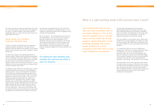This report presents the results and conclusions of the field trial. Particular attention should be given to the appendix of this report. It contains samples of the 'before and after' photography taken at a range of the test sites. Pictures can speak louder than words.

### Energy Saving Trust Innovation Programme feasibility study

The feasibility study showed that LED lighting had a number of potential benefits over existing CFL and incandescent lighting systems in 'like for like' replacement installations. It was found that LED lighting had lower operating costs, consumed less electricity and resulted in lower CO $_{\rm z}$  emissions. Reductions in these could be as high as 19 per cent. LED lighting technology was significantly more expensive to purchase than CFL technology, which resulted in higher installed costs, but LEDs had an additional cost-benefit because of their reduced maintenance costs and their much longer operating life span. LED light fittings are likely to follow a trend similar to that of CFLs by reducing in cost over the coming years. If that proves to be the case, then the reduced emissions and lower operating costs would make LED lighting a cost-effective way to reduce CO $_{\rm z}$  emissions.

In 2007, an Innovation Programme grant was awarded to Lighting Association Laboratories<sup>6</sup>. The grant was for a feasibility study that looked into the benefits of LED lighting systems, with a particular focus on their installation in social housing sites.

The desk study focused on the lighting requirements of communal areas in Denseat House sheltered accommodation facility in Aberdeen. Areas where lighting was in continuous use, such as corridors, stairwells and other areas of frequent use, were chosen to demonstrate the potential of LED lighting to reduce costs and relative CO $_{\rm 2}$  emissions. In most instances, the areas were already fitted with energy-efficient compact fluorescent lamps (CFLs).

LED lighting has lower operating costs, consumes less electricity and results in lower  $\textsf{CO}_\textsf{2}$  emissions.

The study also concluded that the lack of 'off the shelf' lamps, and the requirement of bespoke fittings for a new installation, significantly impacts upon the payback time for installing LED-based lighting.

By the time phase 1 of the Energy Saving Trust field trial was implemented, it was clear that this last conclusion had been rectified by the rapid development of LED technology. There were several companies in the UK who were by now manufacturing 'off the shelf' fittings, which were suitable for installation as direct retrofits for the existing lighting. The variety and efficiency of available products increased throughout the trial and continues to do so today.

Light-emitting diodes have for many years been used as indicators (such as red standby indicators on TVs). At first, they were available only as a red light source, and their output was not high enough for general illumination. As the technology developed, other colours became available and so LEDs successfully found other roles in a wide range of appliances and equipment.

The next stage of development saw the material's technology becoming more advanced: light output rose while maintaining efficiency and reliability at acceptable levels. The invention and development of high-power white light LED led to its use as illumination. It is now fast replacing incandescent and fluorescent lighting.

LEDs are available in many different colours. White light is created by one of several methods: for example, by mixing red, blue and green light (RGB LEDs), by mixing blue LED plus yellow phosphor or by mixing ultraviolet LED and RGB phosphors.

It is claimed that LEDs can last up to 100,000 hours compared with 1,000 hours for typical incandescent lamps, 10-15,000 hours for CFLs and 15-30,000 hours for fluorescent tubes. They use solid state technology: they have no moving parts, no glass and no filament breakage. The LED products installed in the field trial were typically constructed from LED chips and an associated driver contained in a light fitting – thus classed as an LED luminaire.

LED lamps differ from all other lamp types. They combine the highest efficiency (using up to 90 per cent less energy than conventional incandescent lamps) and a very long life span. The long service lives of the LED lamps therefore have the additional benefits of reducing waste volumes and conserving production resources due to less frequent maintenance and replacement.

## **What is a light-emitting diode (LED) and how does it work?**

<sup>6</sup> http://www.lightingassociation.com/lighting-association-laboratories/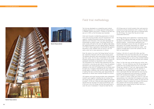LED fittings were all retrofit products that could easily be installed by existing maintenance staff in place of the old fittings. Drivers and control gear were all contained within the LED fittings. This means that they did not need complicated electronics.

The Energy Saving Trust's experience in assessing various energy efficient lighting technology has made it clear that the quality of performance can differ significantly between different products. A performance specification was therefore developed to ensure the new LED lighting was of high quality, and included requirements for lifetime, maintenance of performance and electrical safety. LED suppliers provided data to prove their products met the field trial specification.

Funding, in the form of a grant offer letter, was then disseminated to the most favourable bids until the funding pot was exhausted. Grants were paid to the participating social housing providers as soon as they provided evidence that the LED fittings had been both procured and installed.

Phase 2 of the trials was carried along very similar lines to phase 1. The main difference was that the percentage of funding the trial provided towards the cost of the LED fittings was reduced to 70 per cent. Approximately £300k was available in the funding pot and the reduction in percentage costs provided allowed a greater number of sites to participate. We had noted that the social housing providers had experienced some difficulties in deciding which LED manufacturers/suppliers to potentially work with. A location in central London was hired for a day and representatives from interested LED companies and social housing providers were invited to attend. This gave the LED companies a chance to display their products and discuss their potential with the housing managers. Several relationships were forged during this event that led to successful bids for funding.

The trial was developed as a competitive grant scheme originally planned to run in three separate funding phases in 2008/09, 2009/10 and 2010/11. Funding for the field trial was cut in 2010, so the third phase was cancelled.

Initial work focused on establishing expressions of interest from social housing providers and LED manufacturers and suppliers. Guidance documents setting out the scope, objectives and timescales of the trial were developed and disseminated via several routes. The Energy Saving Trust works closely with both of the main UK lighting trade bodies, the Lighting Association (LA) and Lighting Industry Federation (LIF). Both of these organisations disseminated the guidance documents to their members who are active in the LED sector, which led to many expressions of interest.

Given the nature of our work, the Energy Saving Trust also has substantial interaction with the social housing sector. The guidance documents were disseminated to them through two main routes. The first was a presentation to the Energy Efficiency Partnership for Homes Local Authority Group and subsequent distribution of documents to all its members. The involvement of our Practical Help programme was also instrumental in ensuring we were able to issue the guidance documents to all social housing providers in England. A stipulation of the trial's ETF funding was that the money could be spent only in England. Interested parties were asked to provide details of potential sites and the numbers and types of lighting that was currently being used. Approximately 40 expressions of interest were received through this process.

LED suppliers and social housing providers were subsequently invited to work together to develop bids for funding from the Energy Saving Trust. Approximately £300k was available for phase 1 of the trial. Those who were preparing bids were advised that the LED field trial would provide 80 per cent of the cost of the LED fittings and that they would have to cover the cost of installation. It should be noted that the

## **Field trial methodology**



**Kestrel House exterior**



**Kestrel House exterior**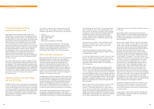#### Field trial methodology Field trial methodology

### On-site performance monitoring undertaken during the trial

A key aspect of the LED field trial was to take in-situ measurements of the performance of the lighting that was already in place, and then to take in-situ measurements of the performance of the new LED lighting. The Energy Saving Trust needed to measure the performance of the existing lighting in several areas throughout each social housing site. Lux (light) levels and colour temperature were then measured in exactly the same positions as soon as the LED lighting had been installed. A further set of measurements was taken approximately six months later, to establish the maintenance of the lux levels and colour over time. Digital photographs of the lighting and measurement locations were also documented. The final task was to identify and report on the number and type of existing light fittings on site as well as the new LED lighting once they had been installed.

There was a tender process to select a suitable monitoring contractor to undertake these measurements. The contract was awarded to The Lighting Association Laboratories, who had undertaken much of the product testing for Energy Saving Trust Recommended lighting applications. They undertook all the measurements required throughout phase 1 and phase 2 of the field trial. Suitably calibrated measurement equipment was used at all times. The results were presented in site-specific reports.

### Laboratory testing of old light fittings and new LED fittings

In addition to the on-site measurements, the Energy Saving Trust also required measurements of the actual performance of both old light fittings and new LED fittings to be undertaken in laboratory conditions. The purpose of these measurements was to establish the true performance of the lighting rather than relying on manufacturers' claims. The measurements would also help to validate calculations of energy savings generated by the LED lighting.

The contract to undertake these measurements was also subject to tender and was again awarded to The Lighting Association Laboratories. The measurements specified were:

- Lux level
- Colour temperature (CCT)
- Colour rendering (CRI)
- Power factor
- Actual power consumption of the fittings

Social housing managers participating in the trial were required to make old light fittings and new LED fittings available to The Lighting Association Laboratories for the purposes of these measurements. The results of the measurements were added to the site-specific reports.

#### 'Before and after' photography

When planning the LED field trial it was clear that professional photography would be a valuable aid in assessing the performance of both the old and new lighting. While the Lighting Association Laboratories measurements are essential in understanding the true performance of the lighting, they are relatively meaningless to the layman. Well-structured photographs, taken at several locations in a selection of the social housing sites, give an excellent visual record of the performance of both the old and new lighting. A selection of the 'before and after' photographs is displayed in the appendix of this report.

The photography contract was awarded to Simon Punter7 . One of the key aspects of this part of the trial was to ensure that the 'before and after' photographs were taken from exactly the same positions and that they used identical exposure settings. The photographs contained in this report were taken using this methodology and were not subjected to any post-production processing. This ensured that they were un-doctored records of the true performance of the lighting.

The text below was submitted by Simon Punter to discuss his approach in undertaking the project. It sets out the methodology he employed and it discusses the importance of representing the performance of lighting through photography.

The methodology behind this shoot for the Energy Saving Trust was unlike any other I have followed before. In the most scientific way possible, we hoped to show pictorially a comparison of the old fluorescent lighting and the new LED lighting installed at the various social housing locations. "Before and after" photographs were taken to illustrate brightness, colour temperature, spread of light and rendering of colour.

My approach was as follows. I would visit each location and choose a number of areas to shoot. Then I would photograph each view using a broad range (4–6) of exposure settings.

I would then photograph my camera tripod in position, usually including a conspicuous object or feature (such as a numbered door of a flat).

Once the new lighting had been installed I returned to each property. The tripod was then placed in exactly the same position as before to ensure that I captured the same view. I shot these photos at all the same camera settings, regardless of how the photo looked. This then gave us a direct comparison.

One of the ways in which this job was unlike a normal interiors shoot is that normally, when photographing an interior, I would use studio-style flash heads to evenly light a room or space and I would aim to balance this light with any ambient daylight (coming in from any windows and doors) and to complement any existing artificial lighting there, such as tungsten or fluorescent lighting. However, with this project absolutely no additional lighting was used – the only light sources in the photos are the old and new lights that are being compared.

Another aspect of this shoot that made it unusual is that I would normally do some post-production work on my computer in Photoshop. Adjustments are usually made to the raw file of every photo that a client chooses to use, to improve the image. This includes adjustments to numerous aspects such as colour temperature, tint, exposure, contrast, shadow detail, colour saturation, etc. However, the necessity for this shoot to produce photos that were an exact

un-doctored record of a real situation meant that I did none of this work.

The combined effects of the eye and the human brain made it necessary to record images photographically (with a digital sensor or with film) for this project, rather than just rely on getting feedback on performance from the tenants/landlords.

Our eyes have a broader dynamic range than any camera sensor or film emulsion, so we are able to record detail in a wider range of shadow and highlight areas. If we were to look around a scene our eyes would automatically adjust so that we can see into dark areas and similarly into very light areas. Our brains also take into account all the extraneous light around these views, so that we believe that the poor "before" lighting was actually not as bad as the photos show and as it really is. Interpretation of colour is also adjusted. For example, if one views a scene lit by traditional household bulbs, one would see the colour white as white, but if we were to photograph this scene using film there would be an orangey colour cast – as there would also be in an uncorrected digital camera raw file. So, when I did the "after" photographs, although it was instantly obvious in many of the situations that the new lighting was better than the old, it was only when we looked at the photos that we saw the full extent of the improvement. Not only were the new light levels generally higher, the colour temperature was much closer to daylight, which means that colours were recorded as they should be. An example of this was a blue doormat at one location which appeared on the "before" photos as a dark patch, but appeared on the "after" photos as blue. This shows that the colour rendering of the new lighting is superior.

The spread of light was now much more uniform, so a lot of the areas of shadow and pools of harsh direct light of the old lighting were now shown in the photos (but not seen by the eye, because of the reasons mentioned above) as being lit evenly.

In every aspect, in most of the locations in this field trial, the photographs I took prove that the new LED lighting is superior to the old lighting.

.

7 http://simonpunter.com/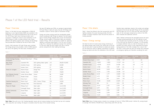### Phase 1 Overview

Phase 1 of the field trial was implemented in 2008–09, beginning in June. Approximately £300k was available in the funding pot, this money providing 80 per cent of the cost of the LED fittings. Eight social housing providers were successful in bidding for funds for the installation of LED light fittings at a total of sixteen different sites. Seven different LED lighting suppliers were involved, and the fittings they provided were installed by the end of March 2009.

Exactly 1,846 individual LED light fittings were installed. The Energy Saving Trust provided a total of £290k towards the cost of the lighting. The total value, including VAT, of

the new LED lighting was £394k, an average of approximately £213 per fitting. In nearly all cases, the new LED fittings were installed in place of various types of fluorescent fittings.

Energy and carbon savings would be considerably greater should incandescent light fittings be replaced. The most typical type of existing fittings replaced were circular 2D fluorescent fittings, various lengths of fluorescent tubes and recessed modular fittings. LEDs are particularly suitable for replacing lighting in communal areas where it is on for up to 24 hours a day. This is because the additional savings from switching to LEDs will repay the extra capital cost over a shorter period, compared with other lighting technology.

### Phase 1 Site details

**Table 2 Note.** Value of energy saving is based on an average unit price of 13.95p (2008 prices). Lifetime CO<sub>2</sub> savings based on average LED lifetime of 50,000 hours, lamps being used 24hrs per day.

Table 1 shows the different sites that successfully had LED lighting installed, the social housing provider, the total number of fittings installed at each site and the amount of funding awarded.

### Phase 1 Energy savings

The field trial did not involve actual energy monitoring of the lighting energy used at each site, mainly due to the fact that at most sites it would be difficult to isolate and monitor just the electricity used for lighting. Calculations of lighting energy-use before and after the installation of the LEDs have

therefore been undertaken, based on the number and wattage measured of the old and new light fittings and the assumption that the lights are on for 24 hours per day, seven days per week, for fair and equal comparison as some of the LEDs were installed with additional controls.

Table 2 (below) summarises the calculated amount and value of energy savings generated by the LED lighting for each site. The table also illustrates annual CO $_{\rm _2}$  savings, the cost of the LEDs and the lifetime CO $_{\rm _2}$  savings. It is not possible to compare different sites on a like-for-like basis, nor is it possible from these results to fully understand the energy saving potential of the LEDs installed. This is due to the fact that in some cases the new LED fittings also contained an emergency lighting unit (therefore increasing the cost)

## **Phase 1 of the LED field trial – Results**

**Table 1 Note.** Sites with n/a in the 'Funding Awarded' column did not receive funding from the field trial but still installed LEDs using their own funding. The figures in brackets show the value of this levered funding.

#### **Table 2**

| Name of site         | Total energy<br>saving (kWh/a) | Annual value of<br>energy saved (£) | LED cost<br>(E) | Investment<br>payback (years) | CO <sub>2</sub> Saving<br>(t/a) | tCO <sub>s</sub> Saving<br>lifetime (t) |
|----------------------|--------------------------------|-------------------------------------|-----------------|-------------------------------|---------------------------------|-----------------------------------------|
| Richard Kitson Court | 8,122                          | 1,133                               | 17,793          | 15.7                          | 5                               | 26                                      |
| Cavendish Mill       | $-19,091$                      | $-2,663$                            | 117,327         | n/a                           | $-11$                           | $-61$                                   |
| Assheton House       | $-45,679$                      | $-6,372$                            | 81,306          | n/a                           | $-26$                           | $-147$                                  |
| Hunters Court        | $-3,786$                       | $-528$                              | 7,487           | n/a                           | $-2$                            | $-12$                                   |
| Kestrel House        | 28,195                         | 3,933                               | 26,388          | 6.7                           | 16                              | 90                                      |
| Gambier House        | 12,224                         | 1,705                               | 23,286          | 13.7                          | 7                               | 39                                      |
| James Murray Mews    | 8,438                          | 1,177                               | 22,608          | 19.2                          | 5                               | 27                                      |
| Rendell Street       | 4,415                          | 616                                 | 11,830          | 19.2                          | 2                               | 14                                      |
| Hicks Court          | 1,472                          | 205                                 | 3,943           | 19.2                          |                                 | 5                                       |
| Miners Court         | 73,156                         | 10,205                              | 61,879          | 6.1                           | 41                              | 235                                     |
| Kellsway Flats       | 389                            | 54                                  | 4,944           | 92                            | 0.2                             | 1                                       |
| Ridings Court        | 15,101                         | 2,107                               | 3,729           | 1.8                           | 8                               | 48                                      |
| Connaught House      | 5,977                          | 834                                 | 2,323           | 2.8                           | $\mathcal{E}$                   | 19                                      |
| Dasset Road          | 18,504                         | 2,581                               | 3,581           | 1.4                           | 10                              | 59                                      |
| Longview             | 14,363                         | 2,004                               | 3,181           | 1.6                           | 8                               | 46                                      |
| Masons Way           | 13,251                         | 1,849                               | 2,654           | 1.4                           | 7                               | 43                                      |
| <b>Summary</b>       | 135,051                        | 18,840                              | 394,309         | 20.9                          | 74.2                            | 432                                     |

| Social housing provider                 | Name of site         | <b>LED</b> supplier         | Number of LED<br>fittings installed | <b>Funding awarded</b><br>$(\mathfrak{L})$ |
|-----------------------------------------|----------------------|-----------------------------|-------------------------------------|--------------------------------------------|
| Suffolk Heritage Housing<br>Association | Richard Kitson Court | Philips                     | 160                                 | 14,234                                     |
| New Charter                             | Cavendish Mill       | ASD Lighting (Ideal Lights) | 413                                 | 85,629 (10,292)                            |
| Homes Ltd                               | Assheton House       | ASD Lighting                | 321                                 | 62,900                                     |
|                                         | Hunters Court        | ASD Lighting                | 27                                  | 5,989                                      |
| Homes for Islington                     | Kestrel House        | Design Plan                 | 154                                 | 18,357                                     |
|                                         | Gambier House        | <b>LEDxON</b>               | 97                                  | 18,629                                     |
| East Midlands Housing                   | James Murray Mews    | Illuma                      | 86                                  | 18,087                                     |
| Association Ltd.                        | Rendell Street       | Illuma                      | 45                                  | 9,464                                      |
|                                         | Hicks Court          | Illuma                      | 15                                  | 3,155                                      |
| Coastline Housing Ltd                   | Miners Court         | ASD / Illuma / Philips      | 253                                 | 49,503                                     |
| Gateshead                               | Kellsway Flats       | Park Electrical             | 18                                  | 3,995                                      |
| Places for People                       | Ridings Court        | Ideal Lights                | 64                                  | n/a (3,729)                                |
|                                         | Connaught House      | Ideal Lights                | 43                                  | $n/a$ (2,323)                              |
| Solihull Community                      | Dasset Road          | Ideal Lights                | 56                                  | n/a (3,581)                                |
| Housing                                 | Longview             | Ideal Lights                | 52                                  | $n/a$ (3,181)                              |
|                                         | Masons Way           | Ideal Lights                | 42                                  | $n/a$ (2,654)                              |
| Summary                                 |                      |                             | 1,846                               | 289,942                                    |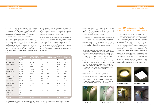and in nearly all sites the opportunity was taken to greatly enhance the existing light levels by installing brighter lighting and sometimes additional fittings. In order to fully reflect the energy saving potential of the LED lighting, additional calculations have been undertaken using a normalised methodology. This is explained later in the report.

The wattages of both the old fittings and the new LED fittings were confirmed (where samples were provided) by the Lighting Association Laboratories tests and used in the energy and CO $_{\rm _2}$  saving calculations. The return on investment shown in table 2 is calculated in simple terms – by comparing the total cost of the LED fittings against the energy they save. They do not factor in other savings that are generated by the much longer lives of the LED products – typically between

two and five times greater than the fittings they replaced. The longer lifetime will lead to additional savings from avoiding the costs of replacement lamps and the maintenance time to fit them. These estimated costs are factored into the case study for Cavendish Mill shown later in the report.

The results have shown the significant energy savings that can be generated by LED lighting, even when replacing existing fluorescent fittings. With increased investment in this type of LED fittings, unit costs should reduce and payback periods will become shorter. Energy supplier subsidies for CFLs has led to a price reduction of around £15 in the late 1990s to approximately £2–3 in 2010, showing as an example the effect that increased production and distribution numbers can have on price.

As mentioned previously a good way of illustrating the true energy saving potential of LED lighting is to calculate energy savings on a 'normalised' basis. By this we mean this takes into account the lighting levels at each site both before and after the installation of the LED lighting.

In order to perform a fair and equal comparison between the LEDs and the existing lighting, energy saving calculations were normalised based upon measured light levels. The energy consumed by the existing lighting was multiplied by the percentage change in light levels generated by the LED lighting enabling a comparison to be made on a like for like basis.

The Lighting Association Laboratories measurements, discussed in the next section of this report, clearly illustrate how the LED lighting has greatly enhanced lighting levels at the majority of sites (a 100 per cent increase in lux levels in phase 1). In many cases an increase was specifically required by the participating housing managers.

Table 3 presents the results of these normalisation calculations for each site involved in phase 1. The table illustrates what the energy savings would be if the existing lighting had the same light levels as the new LEDs – they would have had to consume far more energy (and have far more fittings in place) to generate such an increase in light.

The key fact that the table shows is that, on a normalised energy saving basis, the LED lighting would return its original investment cost in less than two years – far less than the approximate lifetime of the products installed.

Interest generated by phase 1 of the trial resulted in a lot of enquiries from LED manufacturers, resulting in a wider range of products becoming available for phase 2.





### Phase 1 LED performance – Lighting Association Laboratories measurements

Lighting Association Laboratories was employed to undertake in-situ measurements of lighting levels at each site where new LED fittings were installed. Measurements of colour temperature were also taken. Colour temperature (measured in degrees Kelvin) illustrates how 'warm' or 'cold' the light colour is. Most domestic lighting has a colour temperature of around 2,800K, often described as 'warm white'. LED lighting is available in a wide range of colour temperatures, but is most commonly found in much higher temperatures such as 5,500K – 6,500K. This gives a bright, whiter light much closer to that provided by natural daylight.

An initial set of readings was taken with the original lighting in place. Several representative measurement points were used throughout each site with the same points used for subsequent readings. A second set of readings was taken after the LEDs were installed. A final set of readings followed approximately six months after the LEDs had been installed to ensure that they were still functioning satisfactorily.

**Gambier House (before) Gambier House (after)**



**Gambier House (before) Gambier House (after)**







**Miners Court (before) Miners Court (after)**

**Table 3 Note.** Sites with n/a in the 'Normalised energy saving' column were not visited by the Lighting Association. We are therefore unaware of the performance of the LEDs and are not able carry out the normalised energy saving calculations.

| Name of site         | Normalised energy<br>saving (kWh/a) | Annual value of<br>energy saved (£) | LED cost<br>$(\hat{\mathbf{r}})$ | Return on<br>investment (years) | CO <sub>.</sub> Saving<br>(t/a) | tCO <sub>2</sub> Saving<br>lifetime (t) |
|----------------------|-------------------------------------|-------------------------------------|----------------------------------|---------------------------------|---------------------------------|-----------------------------------------|
| Richard Kitson Court | 30,702                              | 4,283                               | 17,793                           | 4.2                             | 17.3                            | 98.5                                    |
| Cavendish Mill       | 365,278                             | 50,956                              | 117,327                          | 2.3                             | 205.3                           | 1,171.7                                 |
| Assheton House       | 214,946                             | 29,985                              | 81,306                           | 2.7                             | 120.8                           | 689.5                                   |
| Hunters Court        | 22,274                              | 3,107                               | 7,487                            | 2.4                             | 12.5                            | 71.4                                    |
| Kestrel House        | 128,267                             | 17,893                              | 26,388                           | 1.5                             | 72.1                            | 411.4                                   |
| Gambier House        | 78,366                              | 10,932                              | 23,286                           | 2.1                             | 44                              | 251.4                                   |
| James Murray Mews    | 10,549                              | 1,472                               | 22,608                           | 15.4                            | 5.9                             | 33.8                                    |
| Rendell Street       | 2,108                               | 294                                 | 11,830                           | 40.2                            | 1.2                             | 6.8                                     |
| Hicks Court          | $-58$                               | $-8$                                | 3,943                            | n/a                             | 0                               | $\mathbf 0$                             |
| Miners Court         | 139,425                             | 19,450                              | 61,879                           | 3.2                             | 78.4                            | 447.2                                   |
| Kellsway Flats       | 1,087,598                           | 151,720                             | 4,994                            | 0.03                            | 611.2                           | 3,488.7                                 |
| Ridings Court        | n/a                                 | $\overline{\phantom{a}}$            | $\overline{\phantom{0}}$         | $\overline{\phantom{0}}$        | $\overline{\phantom{0}}$        | $\overline{\phantom{a}}$                |
| Connaught House      | n/a                                 |                                     | $\overline{\phantom{a}}$         | $\overline{\phantom{a}}$        | $\overline{\phantom{a}}$        | $\overline{\phantom{a}}$                |
| Dasset Road          | 16,467                              | 2,297                               | 3,581                            | 1.6                             | 9.3                             | 52.8                                    |
| Longview             | n/a                                 |                                     |                                  |                                 |                                 |                                         |
| Masons Way           | n/a                                 |                                     |                                  |                                 |                                 |                                         |
| Summary              | 2,095,922                           | 292,381                             | 382,422                          | 1.31                            | 1,178                           | 6,723.20                                |

**Table 3**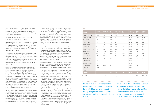#### Phase 1 of the LED field trial – Results

Table 4 sets out the results of the Lighting Association Laboratories measurements. The Lux (lx) levels and colour temperatures displayed are an average of readings taken throughout each site. The percentage change in light output at each visit is also displayed.

The results shown in the table clearly illustrate the improvements created by the LED lighting.

Existing lux levels were generally unsuitable (an average of 63lx across the sample) for communal spaces where 24-hour illumination is needed. In some areas, existing lux levels were "satisfactory" or "good" as reported by Lighting Association Laboratories but most of the sites needed an upgrade in lighting levels.

In some cases the installation of LED fittings led to very significant increases in lux levels. There was an average increase of 100 per cent across the sample (126lx). This is despite three sites (James Murray Mews, Rendell Street and Hicks Court) where lighting levels barely increased or even decreased. The LED fittings installed at these three sites were described by Lighting Association Laboratories as 'not fit for purpose'.

All the remaining sites, except Dasset Road, took the opportunity to install brighter lighting and enhance the lighting levels throughout. Hunter's Court and Assheton House improved average lighting levels by 664 per cent and 512 per cent respectively, which was achieved by installing a greater number of higher efficiency and brighter light fittings. The new lighting has also reduced 'pooling' of light and areas of shadow and gives a much more even distribution of light. The dramatic increase in light levels at these two sites meant that there was no energy saved. This was typical of many of the sites involved in the field trial. The majority of sites, with properly specified LEDs, have saved energy and improved lux levels which clearly illustrates the dual benefits LED lighting can bring.

The same measurements were taken again after approximately six months of operational use. Average lux levels had decreased slightly, which is to be expected with all lighting technology, to an average of 119.5lx across the sample. This represents maintenance of lux levels of 93.6 per cent over the six-month period. Miners Court and Hunters Court actually experienced increases in light output of 23.9 per cent and 5.5 per cent respectively. Overall, the LED lighting experienced excellent ongoing performance over the first six months of operation.

The impact of the LED lighting on colour temperature is also clear. The existing lighting had an average colour temperature of 3,219K, which is close to the typical 'warm white' colour produced by fluorescent lighting. LEDs are more efficient the whiter or colder the light is, and this obviously influenced the type of LEDs specified for installation. The average colour temperature across the sample significantly increased to a cooler 4,883K. This shift in colour is clearly illustrated in the photographs in the appendix of this report. The cooler, brighter light has greatly enhanced the ambience within most of the sites.

Colour rendering has also improved, which means that colours appear much sharper. Interestingly, average colour temperature had increased by approximately six per cent when the six-monthly measurements were taken. While some sites experienced huge increases in colour temperature (Cavendish Mill, Kestrel House) others, such as Gambier House and Richard Kitson Court, maintained similar colour temperatures. This shows that LED lighting can give familiar 'warm' colour temperatures if desired.

Due to the funding cuts suffered by the field trial, the planned customer satisfaction exercise was not undertaken. Despite this, many anecdotal comments were received from the housing managers involved. Some examples are given below:

- "The lighting has made a major transformation at all three sites, the results are fantastic; it will be interesting to compare 'before and after' photographs and data; staff and residents at all sites have made favourable comments on the improvements. Anyone willing to visit is quite welcome – if they contact me I will arrange." – Mike Walsh, New Charter.
- "Fantastic! Everyone's happy: staff and residents! We will be internally decorating the scheme shortly to complement the new fittings as the new level of light actually shows the true colours of the walls. Might pay to have photos taken following the new decorations." – David Wilkinson, Flagship Housing.
- "Yes, tenants are very happy with lighting, especially in the knowledge that they are cheaper to run, which will reflect in their service charge." - Vince Ward, Southern Housing Group.
- "During a recent consultation regarding community heating, residents commented on how the lights had improved the building." - Alan Sandey, Gateshead Housing Company.
- 18 19 • "We have now finished another big scheme using ASD with the microwave sensors and have also installed LED street lights on another project; we are now looking into an even bigger scheme for communal LEDs." - Vince Ward, Southern Housing Group.

The installation of LED fittings led to very significant increases in lux levels. The new lighting has also reduced 'pooling' of light and areas of shadow and gives a much more even distribution of light.

The impact of the LED lighting on colour temperature is also clear. The cooler, brighter light has greatly enhanced the ambience within most of the sites. Colour rendering has also improved, so that colours appear much sharper. 

#### **Table 4**

| Name of Site         | <b>Existing</b><br>average lux | <b>Initial LED</b><br>average lux | $\frac{9}{6}$<br>Change  | 6 Month LED<br>average lux | $\%$<br>Maintenance      | <b>Existing</b><br>colour (K) | <b>Initial</b><br><b>LED</b> colour | 6 Month<br><b>LED</b> colour |
|----------------------|--------------------------------|-----------------------------------|--------------------------|----------------------------|--------------------------|-------------------------------|-------------------------------------|------------------------------|
| Richard Kitson Court | 121.3                          | 215.8                             | 77.90                    | 173.7                      | 80.5                     | 3,145                         | 3,900                               | 3,761                        |
| Cavendish Mill       | 62.3                           | 291.7                             | 368                      | 242.8                      | 83.2                     | 3,143                         | 6,098                               | 6,510                        |
| Assheton House       | 51.1                           | 311.8                             | 512.40                   | 298.4                      | 95.4                     | 3,307                         | 6,576                               | 6,893                        |
| Hunters Court        | 18.9                           | 144.1                             | 664                      | 123                        | 85.4                     | 3,772                         | 5,808                               | 6,376                        |
| Kestrel House        | 20.7                           | 62.4                              | 201                      | 59.43                      | 95.3                     | 3,194                         | 5,775                               | 6,845                        |
| Gambier House        | 22                             | 71                                | 223.40                   | 66.9                       | 94.2                     | 3,641                         | 3,925                               | 4,396                        |
| James Murray Mews    | 11.8                           | 13.3                              | 12.70                    | 12.95                      | 97.7                     | 2,803                         | 3,726                               | 3,721                        |
| Rendell Street       | 17.6                           | 12.93                             | $-26.60$                 | 11.24                      | 86.7                     | 2,970                         | 3,778                               | 3,865                        |
| Hicks Court          | 20.8                           | 9.81                              | $-52.90$                 | 10.4                       | 105.5                    | 2,811                         | 3,935                               | 4,474                        |
| Miners Court         | 97.7                           | 158.2                             | 62                       | 196                        | 123.9                    | 3,423                         | 5,050                               | 4,940                        |
| Kellsway Flats       | 12.3                           | 79.8                              | 547.41                   | $\overline{\phantom{a}}$   | $\overline{\phantom{a}}$ | 3,017                         | 6,552                               | $\qquad \qquad -$            |
| Ridings Court        | 79.9                           | $\overline{\phantom{a}}$          | $\overline{\phantom{0}}$ | $\overline{\phantom{a}}$   | $\overline{\phantom{a}}$ | 3,544                         | $\overline{\phantom{a}}$            | $\overline{\phantom{a}}$     |
| Connaught House      | 93.2                           | $\overline{\phantom{0}}$          | $\overline{\phantom{a}}$ | $\overline{\phantom{a}}$   | $\overline{\phantom{a}}$ | 3,155                         | $\overline{\phantom{a}}$            | $\overline{\phantom{a}}$     |
| Dasset Road          | 154.6                          | 143.52                            | $-7.2$                   | $\overline{\phantom{a}}$   | $\overline{\phantom{a}}$ | 3,035                         | 3,477                               | $\overline{\phantom{a}}$     |
| Longview             | 161.8                          | $\overline{\phantom{a}}$          | $\overline{\phantom{0}}$ | $\overline{\phantom{a}}$   | $\overline{\phantom{a}}$ | 3,321                         | $\overline{\phantom{a}}$            | $\overline{\phantom{a}}$     |
| Masons Way           | $\overline{\phantom{a}}$       | $\overline{\phantom{0}}$          | $\overline{\phantom{a}}$ | $\overline{\phantom{a}}$   | $\overline{\phantom{a}}$ | $\overline{\phantom{a}}$      | $\overline{\phantom{a}}$            | $\overline{\phantom{a}}$     |
| Summary              | 63                             | 126                               | 100%                     | 119.5                      | 92.6                     | 3,219                         | 4,883                               | 5,178                        |

**Table 4 Note.** Maintenance calculated from all sites except Kellsway Flats and Dasset Road due to lack of 6 month LED lux data.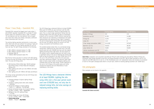### Phase 1 Case Study – Cavendish Mill

Cavendish Mill received the biggest grant under phase 1, with £87,837 awarded. Cavendish Mill is a Grade 2\* listed former cotton mill converted to flats in 1994. It contains 161 one-bedroom and four two-bedroom flats arranged over seven floor levels, plus offices, staircases, communal areas, storerooms and a car park.

The existing lighting operated satisfactorily in some areas, while others were dim and suffered from pooling of light and areas of shadow. All of the lighting operated for up to 24 hours per day. The light fittings consisted of the following:

- 600 x 600mm recessed modular 2 x 18W
- 600 x 600mm recessed modular 3 x 18W
- Bulkhead 28W 2D
- 1500mm 58W fluorescent tubes IP44

New Charter Homes ltd chose to contract with ASD lighting to procure the new LED fittings, using in-house staff to install them. The new LED fittings were

- ASD Harmony 532mm White Opal 18/LED bulkhead type fittings (many of these fitted with emergency lighting unit)
- Ideal Lighting units with up to four 600mm LED tubes and diffusers
- Ideal Lighting units with 1200mm LED tubes and diffusers.

This worked example shows that, on a normalised energy saving basis, lighting the site using LEDs over a five-year period could cost over £150,000 less than with the original lighting assuming similar light levels. The vast majority of this saving is due to reduced energy bills, but there is also a significant saving in the cost of replacing the existing light bulbs as they are assumed to fail every 10,000 hours or so. The cost of the LED fittings used at this site would also have been significantly cheaper if the decision hadn't been taken to have a large number of emergency lighting units installed within the new light fittings. Further reductions in the cost of LED fittings as the sector grows will further increase the feasibility and cost effectiveness of such installations in the future. The state of the state of the state of the state of the state of the state of the state of the state of the state of the state of the state of the state of the state of the state of the state o

The energy savings generated by the new LED fittings were calculated as follows:

- Combined wattage of original lighting fittings  $= 11.922W$
- Increase in lighting levels when LEDs installed  $= 368.036\%$
- Normalised wattage of original lighting:  $11.922 \times (1 + 368.04\%) = 55.799.7kWh$
- Annual normalised energy use of original lighting:  $(55.799.7 \times 8.760) / 1000 = 488.805$ kWh
- Wattage of new LED Lighting fittings  $= 14,101W$
- Annual energy use of new LED fittings:  $(14,101 \times 8.760)$  / 1000 = 123.527kWh
- Annual energy saving: 488,805 – 123,527 = 365,278kWh

Table 5 Note. Installation cost assumed to be £107 per fitting for both existing and LED lighting. Modular fittings and fluorescent tube fittings assumed to cost £40. 2D fittings assumed to cost £35. 18W T8 tubes assumed to cost £4, 2D lamps £5 and 58W tubes £8. All cost inc. of VAT. Maintenance cost is for replacement lamps and includes an assumption of cost for time spent changing bulbs which is £2 per bulb. Lifetime of existing lighting assumed to be 10,000 hours.

The LED fittings have a declared lifetime of at least 50,000h. When used for 8,760h per year (continual use) the LEDs should have an operational lifetime of approximately five years. This is a much longer operational lifetime than the existing fittings (little more than one year for fluorescent products with an assumed 10,000h lifetime) meaning that there should be cost reductions in maintenance time spent replacing bulbs and replacing fittings. Table 5 compares the cost of procuring and running both the existing lighting and the new LED lighting, taking into account unit cost, energy consumption and maintenance costs.

More examples can be found in the appendix.





**Cavendish Mill (before and after)**

| Cost / Energy                   | <b>Existing lighting</b> | New LED lighting |
|---------------------------------|--------------------------|------------------|
| Number of fittings              | 323                      | 413              |
| Installation cost (£)           | 34,709                   | 44,380           |
| Fittings (£)                    | 12,370                   | 117,327          |
| Lamps (£)                       | 1,444                    | 0                |
| 5 Year energy consumption (kWh) | 2,444,028                | 617,637          |
| Operation cost (£)              | 340,942                  | 86,160           |
| Lamp lifetime (h)               | 10,000                   | 50,000           |
| Lifetime maintenance cost (£)   | 9,154                    | 0                |
| Summary lifetime cost (£)       | 398,619                  | 247,867          |

#### **Table 5**

The LED fittings have a declared lifetime of at least 50,000h. Lighting the site using LEDs over a five-year period could cost over £150,000 less, not only due to reduced energy bills, but also savings on replacing existing bulbs.

Phase 1 of the LED field trial – Results Phase 1 of the LED field trial – Results



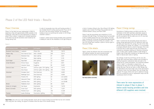#### Phase 2 of the LED field trials – Results

#### Phase 2 Overview

Phase 2 of the field trial was implemented in 2009–10, beginning in May with approximately £300k available in the funding pot. There were far more expressions of interest in phase 2 than in phase 1, largely due to increased awareness of the field trial and the facilitation event hosted by the Energy Saving Trust.

In order to incorporate more sites and housing providers it was decided that ETF funding would provide 70 per cent of the cost of the LED fittings installed. This allowed the funding to focus on maximising the number of LED fittings installed in phase 2.

In phase 2, twelve social housing providers were successful in bidding for funds for the installation of LED light fittings at

a total of nineteen different sites. Nine different LED lighting suppliers were involved. The fittings they provided were all installed between January and March 2009.

Phase 2 saw the procurement and installation of 2,410 individual LED light fittings. The Energy Saving Trust provided a total of £292k towards the cost of the lighting. The total value, including VAT, of the new LED lighting was approximately £507k, an average of £210 per fitting. As in phase 1, the new LED fittings were installed in place of various types of fluorescent fittings.

### Phase 2 Site details

Table 6, shows the different sites that successfully had LED lighting installed, the social housing provider responsible and the amount of funding awarded.





### Phase 2 Energy savings

Calculations of lighting energy use before and after the installation of the LEDs have been undertaken, based on the number and wattage of the old and new light fittings and the assumption that the lights are on for 24 hours per day, seven days per week.

Table 7 summarises the calculated amount and value of energy savings generated by the LED lighting for each site. The table also illustrates CO $_{_2}$  savings, the cost of the LEDs and the lifetime CO $_{_2}$  savings. As in phase 1, it is not possible to compare different sites on a like-for-like basis. This is due to the fact that in some cases the new LED fittings also contained an emergency lighting unit (therefore increasing cost). In other cases a greater number of light fittings or brighter light fittings were installed as the opportunity was taken to improve poor levels of lighting.

The wattages of both the old fittings and the new LED fittings were confirmed (where samples were provided) by Lighting Association Laboratories tests and used in the energy and CO $_{\rm _2}$  saving calculations. The investment payback shown in table  $7$  is calculated in simple terms - by comparing the total cost of the LED fittings against the energy they save. They do not factor in other savings that are generated by the much longer lives of the LED products – typically at least five times greater than the fittings they replaced. The longer lifetime will lead to additional savings both from avoiding the costs of replacement lamps and the maintenance time to fit them.

| Social housing provider | Name of site       | <b>LED Supplier</b>          | <b>Number of LED</b><br>fittings installed | <b>Funding awarded</b><br>(E) |
|-------------------------|--------------------|------------------------------|--------------------------------------------|-------------------------------|
| Bracknell Forest Homes  | Ladybank           | Photon Star                  | 106                                        | 16,110                        |
| Peddars Way             | Doris Barnes Court | ASD / LEDxON                 | 209                                        | 35,112                        |
| St Leger                | Woodland View      | Ideal Lighting               | 57                                         | 2,521                         |
|                         | Park View          | Ideal Lighting               | 43                                         | 2,119                         |
| South Wight             | Rope Walk          | ASD Lighting                 | 73                                         | 9,037                         |
| United Residents        | Elmore House       | Coughtree                    | 42                                         | 9,914                         |
|                         | Leicester House    | Coughtree                    | 95                                         | 24,921                        |
| Central & Cecil         | Ada Court          | LED Eco Lights / SH Lighting | 233                                        | 14,113                        |
|                         | Dora House         | LED Eco Lights / SH Lighting | 283                                        | 17,616                        |
| Gateshead               | Eslington Court    | Park Electrical              | 321                                        | 46,081                        |
|                         | Redheugh Court     | Park Electrical              | 321                                        | 46,081                        |
| Lewisham                | Knowles Hill       | ASD lighting                 | 20                                         | n/a (2,633)                   |
|                         | Adamsdrill Road    | ASD Lighting                 | 16                                         | n/a (1,986)                   |
|                         | Lewisham Park      | ASD Lighting                 | 71                                         | n/a (8,498)                   |
| Wrekin                  | Maddocks Court     | ASD Lighting                 | 90                                         | 9,525                         |
| Homes for Islington     | Ilex House         | Illumination                 | 104                                        | 13,270                        |
| Devon & Cornwall        | Vivian Court       | ASD Lighting                 | 72                                         | 11,917                        |
|                         | Michelle Court     | ASD Lighting                 | 100                                        | 21,339                        |
| Peabody                 | Ipsden Buildings   | Illumination Lighting        | 154                                        | 12,241                        |
| <b>Summary</b>          |                    |                              | 2,410                                      | 291,917                       |

#### **Table 6**

**Table 6 Note.** Sites with n/a in the 'Funding Awarded' column did not receive funding from the field trial but still installed LEDs using their own funding. The figures in brackets show the value of this levered funding.

## **Phase 2 of the LED field trials – Results**

There were far more expressions of interest in phase 2 than in phase 1... twelve social housing providers and nine different LED suppliers were involved. 

**Ilex House (before and after)**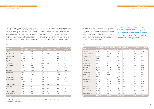calculations for all sites. Table 8 below shows the result of these calculations and again clearly illustrates the effectiveness of LED lighting as an energy saving measure. On this normalised basis energy savings would have been in excess of 1.2GWh per year, generating lifetime CO $_{\rm z}$  savings of over 4,000 tonnes. The return on investment period is similar to phase 1 and much less than the lifetime of the products – an average of 2.85 years.

Energy savings of 402,183kWh per annum are forecast to be generated by the new LED products. The financial value of these savings is £56,104 per annum and comparing this with the total cost of the LEDs results in an average return on investment period of 9.03 years. This is lower than in phase 1, due to both the increasing efficiency of LEDs and also the fact that more sites in phase 2 chose to simply replace existing lighting rather than increase light levels. An additional

factor in this reduced payback figure is that more applications for funding were received in phase 2, which allowed more choice when selecting sites on a value-for-money basis.

As with phase 1, a series of normalised energy saving calculations has been carried out for the phase 2 sites. For phase 2 all the sites were visited by Lighting Association Laboratories so we have been able to carry out these

**Table 7 Note.** Value of energy saving is based on an average unit price of 13.95p. Lifetime CO<sub>2</sub> savings based on average LED lifetime of 50,000 hours.

Realised energy savings of 402,183 kWh per annum are forecast to be generated by the new LED products. The financial value of these savings is £56,104.

**. . . . . . . . . . . . . . .** .

| Name of site       | Normalised energy | Annual value of  | <b>LED</b> cost | Return on          | CO. Saving | tCO <sub>.</sub> Saving |
|--------------------|-------------------|------------------|-----------------|--------------------|------------|-------------------------|
|                    | saving (kWh/a)    | energy saved (£) | (E)             | investment (years) | (t/a)      | lifetime (t)            |
| Ladybank           | 185,624           | 25,895           | 27,042          | 1.0                | 104.3      | 595.4                   |
| Doris Barnes Court | 96,626            | 13,479           | 64,614          | 4.8                | 54.3       | 301.0                   |
| Woodland View      | 18,752            | 2,616            | 4,231           | 1.6                | 10.5       | 60.2                    |
| Park View          | 7,834             | 1,093            | 3,557           | 3.3                | 4.4        | 25.1                    |
| Rope Walk          | 115,001           | 16,043           | 23,064          | 1.4                | 64.6       | 368.9                   |
| Elmore House       | 5,951             | 830              | 16,643          | 20                 | 3.3        | 19.1                    |
| Leicester House    | 32,651            | 4,555            | 24,922          | 5.5                | 18.3       | 104.7                   |
| Ada Court          | 89,090            | 12,428           | 23,689          | 1.9                | 50.1       | 285.8                   |
| Dora House         | 91,035            | 12,699           | 29,570          | 2.3                | 51.2       | 292.0                   |
| Eslington Court    | 58,863            | 8,211            | 77,350          | 9.4                | 33.1       | 188.8                   |
| Redheugh Court     | 43,877            | 6,120            | 77,350          | 12.6               | 24.7       | 140.7                   |
| Knowles Hill       | 3,263             | 455              | 2,633           | 5.8                | 1.83       | 10.5                    |
| Adamsdrill Road    | 16,510            | 2,303            | 1,986           | 0.9                | 9.3        | 53.0                    |
| Lewisham Park      | 229,989           | 32,083           | 8,498           | 0.3                | 129.2      | 737.8                   |
| Maddocks Court     | 96,051            | 13,399           | 22,234          | 1.7                | 54.0       | 308.1                   |
| Ilex House         | 498               | 69               | 22,276          | 320.6              | 0.3        | 1.6                     |
| Vivian Court       | 14,840            | 2,070            | 21,629          | 10.4               | 8.3        | 47.6                    |
| Michelle Court     | 139,707           | 19,489           | 35,820          | 1.8                | 78.5       | 448.1                   |
| Ipsden Buildings   | 29,974            | 4,181            | 19,938          | 4.8                | 16.8       | 96.1                    |
| Summary            | 1,276,136         | 178,018          | 507,046         | 2.85               | 717.0      | 4,093.5                 |

#### **Table 8**

#### **Table 7**

| Name of site       | Total energy<br>saving (kWh/a) | Annual value of<br>energy saved (£) | LED cost<br>(E) | Return on<br>investment (years) | CO <sub>.</sub> Saving<br>(t/a) | £/tCO <sub>2</sub> Saving<br>lifetime (t) |
|--------------------|--------------------------------|-------------------------------------|-----------------|---------------------------------|---------------------------------|-------------------------------------------|
| Ladybank           | $-1,678$                       | $-234$                              | 27,042          | n/a                             | $-1$                            | $-5.4$                                    |
| Doris Barnes Court | 9,490                          | 1,323                               | 64,614          | 48.8                            | 5.3                             | 30.4                                      |
| Woodland View      | 14,099                         | 1,966                               | 4,231           | 2.2                             | 7.9                             | 45.2                                      |
| Park View          | 15,968                         | 2,228                               | 3,557           | 1.6                             | 8.9                             | 51.2                                      |
| Rope Walk          | 29,616                         | 4,131                               | 23,064          | 5.6                             | 16.6                            | 95.0                                      |
| Elmore House       | 964                            | 134                                 | 16,643          | 123.8                           | 0.5                             | 3.0                                       |
| Leicester House    | $-2,681$                       | $-374$                              | 24,922          | n/a                             | $-1.5$                          | $-8.5$                                    |
| Ada Court          | 93,584                         | 13,055                              | 23,689          | 1.8                             | 52.6                            | 300.2                                     |
| Dora House         | 106,799                        | 14,899                              | 29,570          | $\mathbf{2}$                    | 60                              | 342.6                                     |
| Eslington Court    | $-29,513$                      | $-4,117$                            | 77,350          | n/a                             | $-16.5$                         | $-94.7$                                   |
| Redheugh Court     | $-35,792$                      | $-4,993$                            | 77,350          | n/a                             | $-20.1$                         | $-114.8$                                  |
| Knowles Hill       | 3,427                          | 478                                 | 2,633           | 5.5                             | 1.9                             | 11.0                                      |
| Adamsdrill Road    | 2,807                          | 392                                 | 1,986           | 5.1                             | 1.6                             | 9.0                                       |
| Lewisham Park      | 51,502                         | 7,185                               | 8,498           | 1.2                             | 28.9                            | 165.2                                     |
| Maddocks Court     | 15,152                         | 2,114                               | 22,235          | 10.5                            | 8.5                             | 48.6                                      |
| <b>Ilex House</b>  | 1,318                          | 184                                 | 22,276          | 121.2                           | 0.7                             | 4.2                                       |
| Vivian Court       | 3,428                          | 478                                 | 21,629          | 45.2                            | 1.9                             | 11.0                                      |
| Michelle Court     | 111,552                        | 15,561                              | 35,820          | 2.3                             | 62.7                            | 357.8                                     |
| Ipsden Buildings   | 12,141                         | 1,694                               | 19,938          | 11.8                            | 6.8                             | 38.9                                      |
| Summary            | 402,183                        | 56,104                              | 507,047         | 9.03                            | 225.7                           | 1,289.9                                   |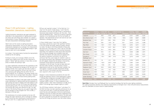92.6 per cent reported in phase 1 of the field trial. It is clear from the results of both phases 1 and 2 that the performance of the new LED light fittings is maintained at impressive levels despite continuous use. Two sites – Park View and Woodland View – stand out as having a significant reduction in lux maintenance over the first six months of operation. They experienced 34.9 per cent and 32.2 per cent reductions in average lux levels.

In these isolated cases, it was clear from Lighting Association Laboratories reports that significant numbers of the LED fittings had failed, leading to greatly reduced lux levels. The type of LED fitting installed at these sites was quite rare in the field trial in that it was an LED tube designed for direct retrofitting into an existing fluorescent tube fitting. The incidences of lamp failure were discussed with the housing manager and a probable cause was identified. The retrofit LED tubes were not supplied with any specific installation instructions: this led to the conclusion that they could simply be installed in place of the existing fluorescent tube. Subsequent discussions with the LED supplier showed that the ballast in the existing fluorescent fitting should be removed before the installation of the LED tube. This had not been done and had most likely resulted in the high levels of failure experienced as soon as the LEDs had been installed. The LED supplier in question provided replacement fittings under the terms of the product warranty manufacturers were required to offer as part of the trial.

Changes in colour temperature provided by the new LED fittings was generally similar to that experienced in phase 1. Existing colour temperature averaged 3,469K (3,219K in phase 1), rising to 5,225K as soon as the LEDs were installed (4,883K in phase 1). Colour temperature rose slightly in phase 1 after initial installation to 5,178K, but in phase 2 the average figure dropped slightly to 4,994K.

The LED fittings installed in both phase 1 and phase 2 of the field trial have now been operating continuously for up to two-and-a-half years. It would be extremely useful to revisit the sites and undertake a third set of performance readings to see how lux levels and colour temperature has been maintained over a much longer period. This data could be used to calculate an accurate set of assumptions as to how the LED fittings will perform over their whole lifetime.

### Phase 2 LED performance – Lighting Association Laboratories measurements

Lighting Association Laboratories was again employed to undertake in-situ measurements of lighting levels at each site where new LED fittings were installed. As in phase 1, measurements of colour temperature were also taken and the same measurement methodology employed.

Table 9 sets out the results of Lighting Association Laboratories measurements. The Lux (lx) levels and colour temperatures displayed are an average of all measurement points throughout each site. The percentage change in light output at each visit is also displayed.

As in phase 1, the results clearly illustrate the improvements created by the LED lighting.

Existing lux levels, at an average of 60.5lx across the sample, were slightly worse than the 63lx measured in phase 1. 'Yellow' light was common in many sites, as were areas of shadow and pooling of light.

Lux levels significantly improved with the installation of the LED fittings, increasing by an average of 56.7 per cent to a reading of 94.8lx. This is quite a bit less than in phase 1, where lux levels increased by 100 per cent, due to many sites specifying LED lighting that was better than the existing lighting. This is reflected in the energy savings from phase 2, which are on average higher than phase 1 because far fewer sites chose to increase existing lighting levels.

The photography for phase 2 sites again shows the marked visual improvement to lighting levels and the eradication of light-pooling and areas of shadow. Park View appears to be the only site where the new LED fittings have significantly reduced lighting levels. This may have been due to the fact that existing light levels were deemed too high. The light output of the existing fittings was very good to begin with, but the average lux level dropped from 151lx to 98lx, a decrease of 34.9 per cent.

The maintenance of lux levels provided by the new LED fittings was again impressive, with an average lux reading of 91.9 across the sites (maintenance of performance of 96.9 per cent). This is slightly better than the figure of

#### **Table 9**

| Name of Site                  | <b>Existing</b><br>average lux | <b>Initial LED</b><br>average lux | $\%$<br>Change | 6 Month average<br><b>LED lux</b> | $\%$<br>Maintenance | <b>Existing</b><br>colour (K) | Initial<br><b>LED</b> colour | <b>6 Month</b><br><b>LED</b> colour |
|-------------------------------|--------------------------------|-----------------------------------|----------------|-----------------------------------|---------------------|-------------------------------|------------------------------|-------------------------------------|
| Ladybank                      | 11.4                           | 96.2                              | 747.6          | 82.7                              | 85.9                | 3,431                         | 3,992                        | 3,464                               |
| Doris Barnes Court            | 47.3                           | 117.5                             | 148.2          | 118.2                             | 100.6               | 3,130                         | 6,627                        | 6,806                               |
| Woodland View                 | 72.7                           | 87.7                              | 20.6           | 59.5                              | 67.8                | 3,857                         | 4,817                        | 5,166                               |
| Park View                     | 151.1                          | 98.4                              | $-34.9$        | 64                                | 65.1                | 3,440                         | 4,375                        | 4,388                               |
| Rope Walk                     | 59.6                           | 163.1                             | 173.7          | 164.7                             | 100.9               | 3,516                         | 5,571                        | 4,974                               |
| Elmore House                  | 32.5                           | 47.54                             | 46.21          | 89.2                              | 187.75              | 3,816                         | 4,225                        | 3,701                               |
| Leicester House               | 25.3                           | 64.1                              | 153.2          | 69.9                              | 109                 | 3,671                         | 4,284                        | 3,815                               |
| Ada Court                     | 95.6                           | 92.4                              | $-3.3$         | 88.1                              | 95.3                | 3,536                         | 4,986                        | 4,674                               |
| Dora House                    | 137.2                          | 123.4                             | $-10.1$        | 96.9                              | 78.6                | 3,731                         | 5,264                        | 5,031                               |
| Eslington &<br>Redheugh Court | 52.1                           | 124.4                             | 138.7          | 101.5                             | 81.6                | 3,272                         | 4,426                        | 4,317                               |
| Knowles Hill                  | 18.5                           | 18                                | $-2.3$         | 18.9                              | 104.9               | 3,706                         | 5,879                        | 5,688                               |
| Adamsdrill Road               | 33.7                           | 102.5                             | 203.7          | 108.8                             | 106.1               | 3,382                         | 5,463                        | 5,384                               |
| Lewisham Park                 | 32.3                           | 119.6                             | 270            | 125                               | 104.5               | 3,335                         | 5,829                        | 5,743                               |
| Maddocks Court                | 18.1                           | 63.5                              | 250.3          | 62.8                              | 98.9                | 3,338                         | 6,432                        | 6,419                               |
| Ilex House                    | 49.9                           | 47.5                              | $-4.8$         | 49.8                              | 104.9               | 3,646                         | 6,609                        | 5,556                               |
| Vivian Court                  | 59.8                           | 103.3                             | 72.7           | 92.2                              | 89.3                | 3,257                         | 3,202                        | 3,237                               |
| Michelle Court                | 180.3                          | 218.2                             | 21             | 210.6                             | 96.5                | 3,410                         | 5,845                        | 6,038                               |
| Ipsden Buildings              | 10.7                           | 19.84                             | 84.61          | 51.12                             | 1,265.85            | 2,970                         | 5,752                        | 5,502                               |
| <b>Average Summary</b>        | 60.5                           | 94.8                              | 56.69          | 91.9                              | 96.90               | 3,469                         | 5,225                        | 4,994                               |

**Table 9 Note.** Eslington Court and Redheugh Court are identical buildings that had the same lighting installation. The Lighting Association therefore only undertook measurements at Eslington Court. Initial LED performance measurements were not undertaken at Elmore House or Ipsden Buildings.

#### Phase 2 of the LED field trials – Results Phase 2 of the LED field trials – Results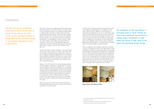Conclusions

The field trial has demonstrated the excellent performance of LED lighting. The photographs in the appendix of this report clearly show this. Despite this, there remains a substantial price difference in the cost of LED fittings when compared with traditional fluorescent fittings. Discussions with many of the social housing managers involved in the trial have shown that only a few of them have undertaken further installations of LED lighting in their housing stock. The up-front additional costs remain a serious constraint. Without grant funded support it is unlikely that the technology would be installed, despite its obvious benefits.

Levels of production and installation need to be increased in order to bring down the cost of LED light fittings. A clear mechanism for assisting in this process would be to encourage and stimulate the involvement of LED products in programmes such as CERT<sup>8</sup> and the forthcoming ECO<sup>9</sup>. Such programmes have very successfully transformed markets for measures such as CFLs, cavity wall and loft insulation, and the same could be done for LED lighting. The Energy Saving Trust will discuss the results of this field trial with both DECC and OFGEM and encourage the inclusion of LED light fittings in both existing and future energy-efficiency initiatives.

The results of the various monitoring activities clearly shows that the installation of LED light fittings in communal areas of social housing can lead to very significant improvements in lighting levels, and quality of light, while at the same time generating energy savings. The fact that the LED light fittings could last over five times as long as the replaced fittings is another very important factor when considering the benefits of this technology. It would be useful to carry out further testing of this finding. This would enable the evaluation of the true cost of the additional labour and product cost involved in maintaining traditional fluorescent light fittings in locations such as those involved in this field trial.

The trial has shown that the installation of LED light fittings can be used to either maintain or enhance light levels, and in both cases can generate energy savings. The increase in colour temperature typically produced by LEDs also improved the environments monitored in the field trial, a factor much appreciated by the social housing tenants. Brighter, whiter light is very effective in the corridors and stairwells in all of the social housing sites.

Interest in the LED field trial from social housing providers and LED suppliers increased as it progressed. It is a great shame that phase 3 had to be cancelled, as it is likely that new LED suppliers would have got involved and the products installed would have developed yet further. LED technology is developing very quickly and may soon dominate both the commercial and domestic lighting markets. It is sufficient to conclude that a social housing provider considering installing LED light fittings today will have an even better choice of products to choose from than those discussed in this report.

With the rising price of electricity, the high efficiencies of LED lighting technology will make it an even more attractive investment in the years ahead.

The field trial can be considered a great success due to the fact that an energy-saving measure has been proven to save significant amounts of energy while at the same time leading to an extremely noticeable increase in performance.

## **Conclusions**



**Richard Kitson Court (before and after)**

The installation of LED light fittings in communal areas of social housing can lead to very significant improvements in lighting levels, maintenance of light levels and quality of light, while at the same time generating energy savings.

<sup>8</sup> Carbon Emissions Reduction Target: http://www.decc.gov.uk/en/content/cms/funding/ funding\_ops/cert/cert.aspx

<sup>9</sup> Energy Company Obligation: http://www.decc.gov.uk/assets/decc/legislation/ energybill/540-energy-security-bill-brief-energy-company.pdf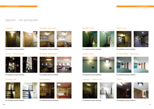Appendix 1 – Site Photographs





**Pre-installation and post-installation Pre-installation and post-installation Pre-installation and post-installation Pre-installation and post-installation**

## Brixton - Ellmore House Concaster (Woodlands) Cambier House St Johns Wood - Dora House





**Pre-installation and post-installation Pre-installation and post-installation Pre-installation and post-installation Pre-installation and post-installation**







## **Appendix – Site photographs**









## Bracknell Channell Doncaster (park view) Channell Gambier House Court Miners Court

















### Cavendish Mill East Dereham Lewisham - Knowles Hill Telford